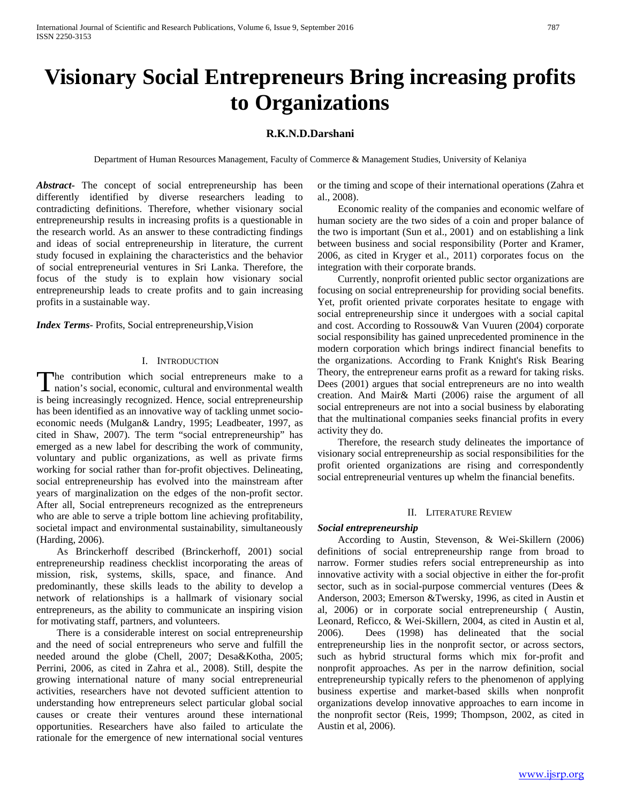# **Visionary Social Entrepreneurs Bring increasing profits to Organizations**

# **R.K.N.D.Darshani**

Department of Human Resources Management, Faculty of Commerce & Management Studies, University of Kelaniya

*Abstract***-** The concept of social entrepreneurship has been differently identified by diverse researchers leading to contradicting definitions. Therefore, whether visionary social entrepreneurship results in increasing profits is a questionable in the research world. As an answer to these contradicting findings and ideas of social entrepreneurship in literature, the current study focused in explaining the characteristics and the behavior of social entrepreneurial ventures in Sri Lanka. Therefore, the focus of the study is to explain how visionary social entrepreneurship leads to create profits and to gain increasing profits in a sustainable way.

*Index Terms*- Profits, Social entrepreneurship,Vision

#### I. INTRODUCTION

The contribution which social entrepreneurs make to a The contribution which social entrepreneurs make to a nation's social, economic, cultural and environmental wealth is being increasingly recognized. Hence, social entrepreneurship has been identified as an innovative way of tackling unmet socioeconomic needs (Mulgan& Landry, 1995; Leadbeater, 1997, as cited in Shaw, 2007). The term "social entrepreneurship" has emerged as a new label for describing the work of community, voluntary and public organizations, as well as private firms working for social rather than for-profit objectives. Delineating, social entrepreneurship has evolved into the mainstream after years of marginalization on the edges of the non-profit sector. After all, Social entrepreneurs recognized as the entrepreneurs who are able to serve a triple bottom line achieving profitability, societal impact and environmental sustainability, simultaneously (Harding, 2006).

 As Brinckerhoff described (Brinckerhoff, 2001) social entrepreneurship readiness checklist incorporating the areas of mission, risk, systems, skills, space, and finance. And predominantly, these skills leads to the ability to develop a network of relationships is a hallmark of visionary social entrepreneurs, as the ability to communicate an inspiring vision for motivating staff, partners, and volunteers.

 There is a considerable interest on social entrepreneurship and the need of social entrepreneurs who serve and fulfill the needed around the globe (Chell, 2007; Desa&Kotha, 2005; Perrini, 2006, as cited in Zahra et al., 2008). Still, despite the growing international nature of many social entrepreneurial activities, researchers have not devoted sufficient attention to understanding how entrepreneurs select particular global social causes or create their ventures around these international opportunities. Researchers have also failed to articulate the rationale for the emergence of new international social ventures

or the timing and scope of their international operations (Zahra et al., 2008).

 Economic reality of the companies and economic welfare of human society are the two sides of a coin and proper balance of the two is important (Sun et al., 2001) and on establishing a link between business and social responsibility (Porter and Kramer, 2006, as cited in Kryger et al., 2011) corporates focus on the integration with their corporate brands.

 Currently, nonprofit oriented public sector organizations are focusing on social entrepreneurship for providing social benefits. Yet, profit oriented private corporates hesitate to engage with social entrepreneurship since it undergoes with a social capital and cost. According to Rossouw& Van Vuuren (2004) corporate social responsibility has gained unprecedented prominence in the modern corporation which brings indirect financial benefits to the organizations. According to Frank Knight's Risk Bearing Theory, the entrepreneur earns profit as a reward for taking risks. Dees (2001) argues that social entrepreneurs are no into wealth creation. And Mair& Marti (2006) raise the argument of all social entrepreneurs are not into a social business by elaborating that the multinational companies seeks financial profits in every activity they do.

 Therefore, the research study delineates the importance of visionary social entrepreneurship as social responsibilities for the profit oriented organizations are rising and correspondently social entrepreneurial ventures up whelm the financial benefits.

#### II. LITERATURE REVIEW

#### *Social entrepreneurship*

 According to Austin, Stevenson, & Wei-Skillern (2006) definitions of social entrepreneurship range from broad to narrow. Former studies refers social entrepreneurship as into innovative activity with a social objective in either the for-profit sector, such as in social-purpose commercial ventures (Dees & Anderson, 2003; Emerson &Twersky, 1996, as cited in Austin et al, 2006) or in corporate social entrepreneurship ( Austin, Leonard, Reficco, & Wei-Skillern, 2004, as cited in Austin et al, 2006). Dees (1998) has delineated that the social entrepreneurship lies in the nonprofit sector, or across sectors, such as hybrid structural forms which mix for-profit and nonprofit approaches. As per in the narrow definition, social entrepreneurship typically refers to the phenomenon of applying business expertise and market-based skills when nonprofit organizations develop innovative approaches to earn income in the nonprofit sector (Reis, 1999; Thompson, 2002, as cited in Austin et al, 2006).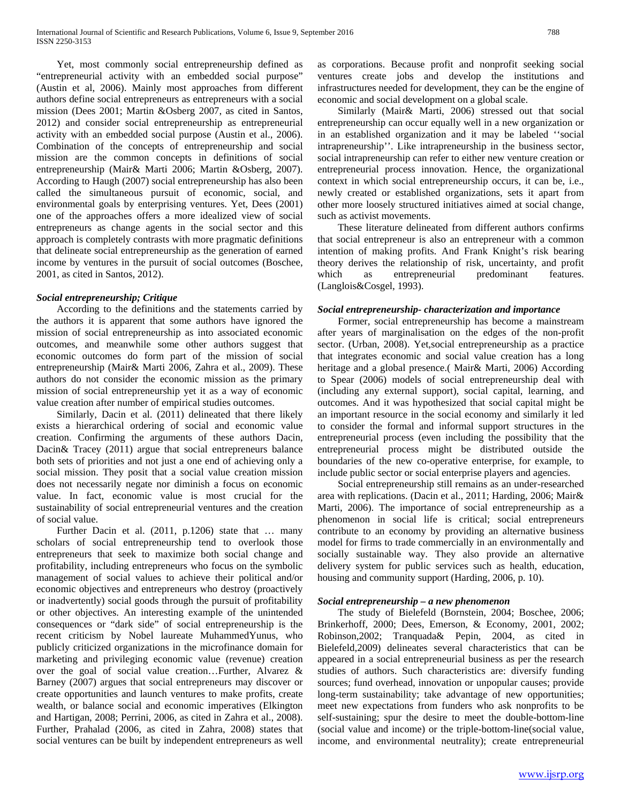Yet, most commonly social entrepreneurship defined as "entrepreneurial activity with an embedded social purpose" (Austin et al, 2006). Mainly most approaches from different authors define social entrepreneurs as entrepreneurs with a social mission (Dees 2001; Martin &Osberg 2007, as cited in Santos, 2012) and consider social entrepreneurship as entrepreneurial activity with an embedded social purpose (Austin et al., 2006). Combination of the concepts of entrepreneurship and social mission are the common concepts in definitions of social entrepreneurship (Mair& Marti 2006; Martin &Osberg, 2007). According to Haugh (2007) social entrepreneurship has also been called the simultaneous pursuit of economic, social, and environmental goals by enterprising ventures. Yet, Dees (2001) one of the approaches offers a more idealized view of social entrepreneurs as change agents in the social sector and this approach is completely contrasts with more pragmatic definitions that delineate social entrepreneurship as the generation of earned income by ventures in the pursuit of social outcomes (Boschee, 2001, as cited in Santos, 2012).

### *Social entrepreneurship; Critique*

 According to the definitions and the statements carried by the authors it is apparent that some authors have ignored the mission of social entrepreneurship as into associated economic outcomes, and meanwhile some other authors suggest that economic outcomes do form part of the mission of social entrepreneurship (Mair& Marti 2006, Zahra et al., 2009). These authors do not consider the economic mission as the primary mission of social entrepreneurship yet it as a way of economic value creation after number of empirical studies outcomes.

 Similarly, Dacin et al. (2011) delineated that there likely exists a hierarchical ordering of social and economic value creation. Confirming the arguments of these authors Dacin, Dacin& Tracey (2011) argue that social entrepreneurs balance both sets of priorities and not just a one end of achieving only a social mission. They posit that a social value creation mission does not necessarily negate nor diminish a focus on economic value. In fact, economic value is most crucial for the sustainability of social entrepreneurial ventures and the creation of social value.

 Further Dacin et al. (2011, p.1206) state that … many scholars of social entrepreneurship tend to overlook those entrepreneurs that seek to maximize both social change and profitability, including entrepreneurs who focus on the symbolic management of social values to achieve their political and/or economic objectives and entrepreneurs who destroy (proactively or inadvertently) social goods through the pursuit of profitability or other objectives. An interesting example of the unintended consequences or "dark side" of social entrepreneurship is the recent criticism by Nobel laureate MuhammedYunus, who publicly criticized organizations in the microfinance domain for marketing and privileging economic value (revenue) creation over the goal of social value creation…Further, Alvarez & Barney (2007) argues that social entrepreneurs may discover or create opportunities and launch ventures to make profits, create wealth, or balance social and economic imperatives (Elkington and Hartigan, 2008; Perrini, 2006, as cited in Zahra et al., 2008). Further, Prahalad (2006, as cited in Zahra, 2008) states that social ventures can be built by independent entrepreneurs as well

as corporations. Because profit and nonprofit seeking social ventures create jobs and develop the institutions and infrastructures needed for development, they can be the engine of economic and social development on a global scale.

 Similarly (Mair& Marti, 2006) stressed out that social entrepreneurship can occur equally well in a new organization or in an established organization and it may be labeled ''social intrapreneurship''. Like intrapreneurship in the business sector, social intrapreneurship can refer to either new venture creation or entrepreneurial process innovation. Hence, the organizational context in which social entrepreneurship occurs, it can be, i.e., newly created or established organizations, sets it apart from other more loosely structured initiatives aimed at social change, such as activist movements.

 These literature delineated from different authors confirms that social entrepreneur is also an entrepreneur with a common intention of making profits. And Frank Knight's risk bearing theory derives the relationship of risk, uncertainty, and profit which as entrepreneurial predominant features. which as entrepreneurial predominant features. (Langlois&Cosgel, 1993).

### *Social entrepreneurship- characterization and importance*

 Former, social entrepreneurship has become a mainstream after years of marginalisation on the edges of the non-profit sector. (Urban, 2008). Yet,social entrepreneurship as a practice that integrates economic and social value creation has a long heritage and a global presence.( Mair& Marti, 2006) According to Spear (2006) models of social entrepreneurship deal with (including any external support), social capital, learning, and outcomes. And it was hypothesized that social capital might be an important resource in the social economy and similarly it led to consider the formal and informal support structures in the entrepreneurial process (even including the possibility that the entrepreneurial process might be distributed outside the boundaries of the new co-operative enterprise, for example, to include public sector or social enterprise players and agencies.

 Social entrepreneurship still remains as an under-researched area with replications. (Dacin et al., 2011; Harding, 2006; Mair& Marti, 2006). The importance of social entrepreneurship as a phenomenon in social life is critical; social entrepreneurs contribute to an economy by providing an alternative business model for firms to trade commercially in an environmentally and socially sustainable way. They also provide an alternative delivery system for public services such as health, education, housing and community support (Harding, 2006, p. 10).

## *Social entrepreneurship – a new phenomenon*

 The study of Bielefeld (Bornstein, 2004; Boschee, 2006; Brinkerhoff, 2000; Dees, Emerson, & Economy, 2001, 2002; Robinson,2002; Tranquada& Pepin, 2004, as cited in Bielefeld,2009) delineates several characteristics that can be appeared in a social entrepreneurial business as per the research studies of authors. Such characteristics are: diversify funding sources; fund overhead, innovation or unpopular causes; provide long-term sustainability; take advantage of new opportunities; meet new expectations from funders who ask nonprofits to be self-sustaining; spur the desire to meet the double-bottom-line (social value and income) or the triple-bottom-line(social value, income, and environmental neutrality); create entrepreneurial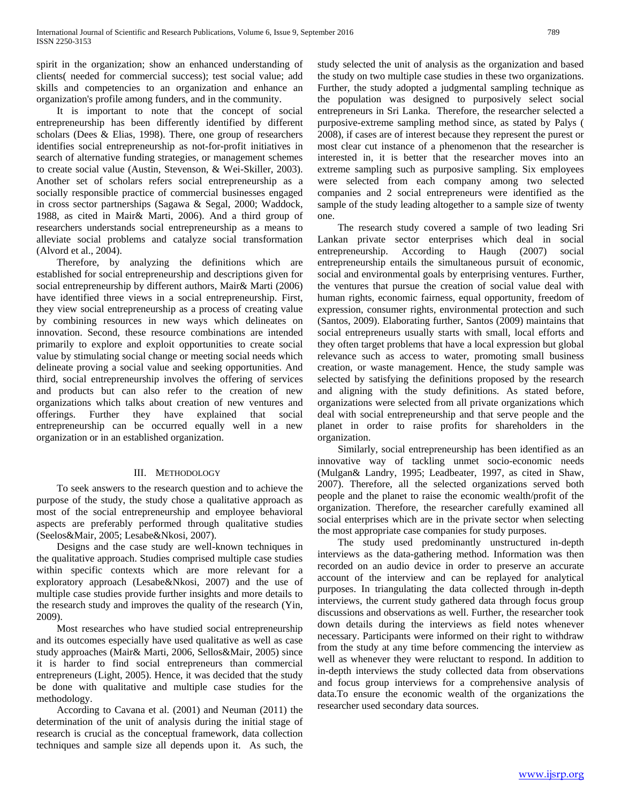spirit in the organization; show an enhanced understanding of clients( needed for commercial success); test social value; add skills and competencies to an organization and enhance an organization's profile among funders, and in the community.

 It is important to note that the concept of social entrepreneurship has been differently identified by different scholars (Dees & Elias, 1998). There, one group of researchers identifies social entrepreneurship as not-for-profit initiatives in search of alternative funding strategies, or management schemes to create social value (Austin, Stevenson, & Wei-Skiller, 2003). Another set of scholars refers social entrepreneurship as a socially responsible practice of commercial businesses engaged in cross sector partnerships (Sagawa & Segal, 2000; Waddock, 1988, as cited in Mair& Marti, 2006). And a third group of researchers understands social entrepreneurship as a means to alleviate social problems and catalyze social transformation (Alvord et al., 2004).

 Therefore, by analyzing the definitions which are established for social entrepreneurship and descriptions given for social entrepreneurship by different authors, Mair& Marti (2006) have identified three views in a social entrepreneurship. First, they view social entrepreneurship as a process of creating value by combining resources in new ways which delineates on innovation. Second, these resource combinations are intended primarily to explore and exploit opportunities to create social value by stimulating social change or meeting social needs which delineate proving a social value and seeking opportunities. And third, social entrepreneurship involves the offering of services and products but can also refer to the creation of new organizations which talks about creation of new ventures and offerings. Further they have explained that social entrepreneurship can be occurred equally well in a new organization or in an established organization.

### III. METHODOLOGY

 To seek answers to the research question and to achieve the purpose of the study, the study chose a qualitative approach as most of the social entrepreneurship and employee behavioral aspects are preferably performed through qualitative studies (Seelos&Mair, 2005; Lesabe&Nkosi, 2007).

 Designs and the case study are well-known techniques in the qualitative approach. Studies comprised multiple case studies within specific contexts which are more relevant for a exploratory approach (Lesabe&Nkosi, 2007) and the use of multiple case studies provide further insights and more details to the research study and improves the quality of the research (Yin, 2009).

 Most researches who have studied social entrepreneurship and its outcomes especially have used qualitative as well as case study approaches (Mair& Marti, 2006, Sellos&Mair, 2005) since it is harder to find social entrepreneurs than commercial entrepreneurs (Light, 2005). Hence, it was decided that the study be done with qualitative and multiple case studies for the methodology.

 According to Cavana et al. (2001) and Neuman (2011) the determination of the unit of analysis during the initial stage of research is crucial as the conceptual framework, data collection techniques and sample size all depends upon it. As such, the study selected the unit of analysis as the organization and based the study on two multiple case studies in these two organizations. Further, the study adopted a judgmental sampling technique as the population was designed to purposively select social entrepreneurs in Sri Lanka. Therefore, the researcher selected a purposive-extreme sampling method since, as stated by Palys ( 2008), if cases are of interest because they represent the purest or most clear cut instance of a phenomenon that the researcher is interested in, it is better that the researcher moves into an extreme sampling such as purposive sampling. Six employees were selected from each company among two selected companies and 2 social entrepreneurs were identified as the sample of the study leading altogether to a sample size of twenty one.

 The research study covered a sample of two leading Sri Lankan private sector enterprises which deal in social entrepreneurship. According to Haugh (2007) social entrepreneurship entails the simultaneous pursuit of economic, social and environmental goals by enterprising ventures. Further, the ventures that pursue the creation of social value deal with human rights, economic fairness, equal opportunity, freedom of expression, consumer rights, environmental protection and such (Santos, 2009). Elaborating further, Santos (2009) maintains that social entrepreneurs usually starts with small, local efforts and they often target problems that have a local expression but global relevance such as access to water, promoting small business creation, or waste management. Hence, the study sample was selected by satisfying the definitions proposed by the research and aligning with the study definitions. As stated before, organizations were selected from all private organizations which deal with social entrepreneurship and that serve people and the planet in order to raise profits for shareholders in the organization.

 Similarly, social entrepreneurship has been identified as an innovative way of tackling unmet socio-economic needs (Mulgan& Landry, 1995; Leadbeater, 1997, as cited in Shaw, 2007). Therefore, all the selected organizations served both people and the planet to raise the economic wealth/profit of the organization. Therefore, the researcher carefully examined all social enterprises which are in the private sector when selecting the most appropriate case companies for study purposes.

 The study used predominantly unstructured in-depth interviews as the data-gathering method. Information was then recorded on an audio device in order to preserve an accurate account of the interview and can be replayed for analytical purposes. In triangulating the data collected through in-depth interviews, the current study gathered data through focus group discussions and observations as well. Further, the researcher took down details during the interviews as field notes whenever necessary. Participants were informed on their right to withdraw from the study at any time before commencing the interview as well as whenever they were reluctant to respond. In addition to in-depth interviews the study collected data from observations and focus group interviews for a comprehensive analysis of data.To ensure the economic wealth of the organizations the researcher used secondary data sources.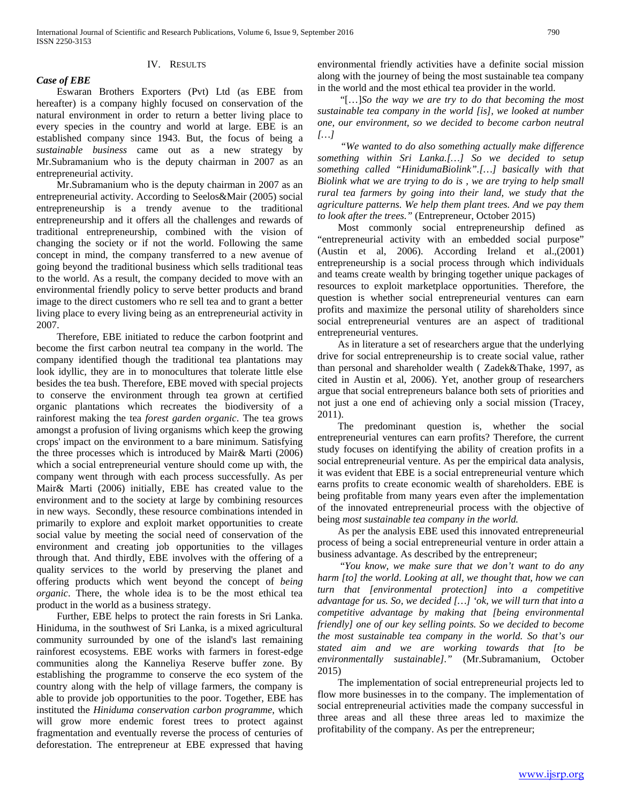# IV. RESULTS

*Case of EBE*

 Eswaran Brothers Exporters (Pvt) Ltd (as EBE from hereafter) is a company highly focused on conservation of the natural environment in order to return a better living place to every species in the country and world at large. EBE is an established company since 1943. But, the focus of being a *sustainable business* came out as a new strategy by Mr.Subramanium who is the deputy chairman in 2007 as an entrepreneurial activity.

 Mr.Subramanium who is the deputy chairman in 2007 as an entrepreneurial activity. According to Seelos&Mair (2005) social entrepreneurship is a trendy avenue to the traditional entrepreneurship and it offers all the challenges and rewards of traditional entrepreneurship, combined with the vision of changing the society or if not the world. Following the same concept in mind, the company transferred to a new avenue of going beyond the traditional business which sells traditional teas to the world. As a result, the company decided to move with an environmental friendly policy to serve better products and brand image to the direct customers who re sell tea and to grant a better living place to every living being as an entrepreneurial activity in 2007.

 Therefore, EBE initiated to reduce the carbon footprint and become the first carbon neutral tea company in the world. The company identified though the traditional tea plantations may look idyllic, they are in to monocultures that tolerate little else besides the tea bush. Therefore, EBE moved with special projects to conserve the environment through tea grown at certified organic plantations which recreates the biodiversity of a rainforest making the tea *forest garden organic*. The tea grows amongst a profusion of living organisms which keep the growing crops' impact on the environment to a bare minimum. Satisfying the three processes which is introduced by Mair& Marti (2006) which a social entrepreneurial venture should come up with, the company went through with each process successfully. As per Mair& Marti (2006) initially, EBE has created value to the environment and to the society at large by combining resources in new ways. Secondly, these resource combinations intended in primarily to explore and exploit market opportunities to create social value by meeting the social need of conservation of the environment and creating job opportunities to the villages through that. And thirdly, EBE involves with the offering of a quality services to the world by preserving the planet and offering products which went beyond the concept of *being organic*. There, the whole idea is to be the most ethical tea product in the world as a business strategy.

 Further, EBE helps to protect the rain forests in Sri Lanka. Hiniduma, in the southwest of Sri Lanka, is a mixed agricultural community surrounded by one of the island's last remaining rainforest ecosystems. EBE works with farmers in forest-edge communities along the Kanneliya Reserve buffer zone. By establishing the programme to conserve the eco system of the country along with the help of village farmers, the company is able to provide job opportunities to the poor. Together, EBE has instituted the *Hiniduma conservation carbon programme,* which will grow more endemic forest trees to protect against fragmentation and eventually reverse the process of centuries of deforestation. The entrepreneur at EBE expressed that having

environmental friendly activities have a definite social mission along with the journey of being the most sustainable tea company in the world and the most ethical tea provider in the world.

 "[…]*So the way we are try to do that becoming the most sustainable tea company in the world [is], we looked at number one, our environment, so we decided to become carbon neutral […]* 

 *"We wanted to do also something actually make difference something within Sri Lanka.[…] So we decided to setup something called "HinidumaBiolink".[…] basically with that Biolink what we are trying to do is , we are trying to help small rural tea farmers by going into their land, we study that the agriculture patterns. We help them plant trees. And we pay them to look after the trees."* (Entrepreneur, October 2015)

 Most commonly social entrepreneurship defined as "entrepreneurial activity with an embedded social purpose" (Austin et al, 2006). According Ireland et al.,(2001) entrepreneurship is a social process through which individuals and teams create wealth by bringing together unique packages of resources to exploit marketplace opportunities. Therefore, the question is whether social entrepreneurial ventures can earn profits and maximize the personal utility of shareholders since social entrepreneurial ventures are an aspect of traditional entrepreneurial ventures.

 As in literature a set of researchers argue that the underlying drive for social entrepreneurship is to create social value, rather than personal and shareholder wealth ( Zadek&Thake, 1997, as cited in Austin et al, 2006). Yet, another group of researchers argue that social entrepreneurs balance both sets of priorities and not just a one end of achieving only a social mission (Tracey, 2011).

 The predominant question is, whether the social entrepreneurial ventures can earn profits? Therefore, the current study focuses on identifying the ability of creation profits in a social entrepreneurial venture. As per the empirical data analysis, it was evident that EBE is a social entrepreneurial venture which earns profits to create economic wealth of shareholders. EBE is being profitable from many years even after the implementation of the innovated entrepreneurial process with the objective of being *most sustainable tea company in the world.* 

 As per the analysis EBE used this innovated entrepreneurial process of being a social entrepreneurial venture in order attain a business advantage. As described by the entrepreneur;

 "*You know, we make sure that we don't want to do any harm [to] the world. Looking at all, we thought that, how we can turn that [environmental protection] into a competitive advantage for us. So, we decided […] 'ok, we will turn that into a competitive advantage by making that [being environmental friendly] one of our key selling points. So we decided to become the most sustainable tea company in the world. So that's our stated aim and we are working towards that [to be environmentally sustainable]."* (Mr.Subramanium, October 2015)

 The implementation of social entrepreneurial projects led to flow more businesses in to the company. The implementation of social entrepreneurial activities made the company successful in three areas and all these three areas led to maximize the profitability of the company. As per the entrepreneur;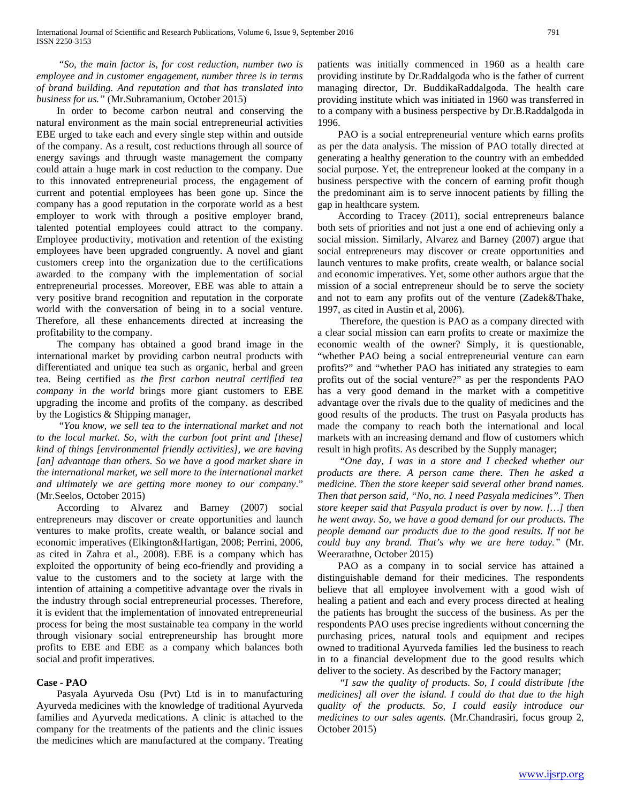"*So, the main factor is, for cost reduction, number two is employee and in customer engagement, number three is in terms of brand building. And reputation and that has translated into business for us."* (Mr.Subramanium, October 2015)

 In order to become carbon neutral and conserving the natural environment as the main social entrepreneurial activities EBE urged to take each and every single step within and outside of the company. As a result, cost reductions through all source of energy savings and through waste management the company could attain a huge mark in cost reduction to the company. Due to this innovated entrepreneurial process, the engagement of current and potential employees has been gone up. Since the company has a good reputation in the corporate world as a best employer to work with through a positive employer brand, talented potential employees could attract to the company. Employee productivity, motivation and retention of the existing employees have been upgraded congruently. A novel and giant customers creep into the organization due to the certifications awarded to the company with the implementation of social entrepreneurial processes. Moreover, EBE was able to attain a very positive brand recognition and reputation in the corporate world with the conversation of being in to a social venture. Therefore, all these enhancements directed at increasing the profitability to the company.

 The company has obtained a good brand image in the international market by providing carbon neutral products with differentiated and unique tea such as organic, herbal and green tea. Being certified as *the first carbon neutral certified tea company in the world* brings more giant customers to EBE upgrading the income and profits of the company. as described by the Logistics & Shipping manager,

 "*You know, we sell tea to the international market and not to the local market. So, with the carbon foot print and [these] kind of things [environmental friendly activities], we are having [an] advantage than others. So we have a good market share in the international market, we sell more to the international market and ultimately we are getting more money to our company*." (Mr.Seelos, October 2015)

 According to Alvarez and Barney (2007) social entrepreneurs may discover or create opportunities and launch ventures to make profits, create wealth, or balance social and economic imperatives (Elkington&Hartigan, 2008; Perrini, 2006, as cited in Zahra et al., 2008). EBE is a company which has exploited the opportunity of being eco-friendly and providing a value to the customers and to the society at large with the intention of attaining a competitive advantage over the rivals in the industry through social entrepreneurial processes. Therefore, it is evident that the implementation of innovated entrepreneurial process for being the most sustainable tea company in the world through visionary social entrepreneurship has brought more profits to EBE and EBE as a company which balances both social and profit imperatives.

### **Case - PAO**

 Pasyala Ayurveda Osu (Pvt) Ltd is in to manufacturing Ayurveda medicines with the knowledge of traditional Ayurveda families and Ayurveda medications. A clinic is attached to the company for the treatments of the patients and the clinic issues the medicines which are manufactured at the company. Treating

patients was initially commenced in 1960 as a health care providing institute by Dr.Raddalgoda who is the father of current managing director, Dr. BuddikaRaddalgoda. The health care providing institute which was initiated in 1960 was transferred in to a company with a business perspective by Dr.B.Raddalgoda in 1996.

 PAO is a social entrepreneurial venture which earns profits as per the data analysis. The mission of PAO totally directed at generating a healthy generation to the country with an embedded social purpose. Yet, the entrepreneur looked at the company in a business perspective with the concern of earning profit though the predominant aim is to serve innocent patients by filling the gap in healthcare system.

 According to Tracey (2011), social entrepreneurs balance both sets of priorities and not just a one end of achieving only a social mission. Similarly, Alvarez and Barney (2007) argue that social entrepreneurs may discover or create opportunities and launch ventures to make profits, create wealth, or balance social and economic imperatives. Yet, some other authors argue that the mission of a social entrepreneur should be to serve the society and not to earn any profits out of the venture (Zadek&Thake, 1997, as cited in Austin et al, 2006).

 Therefore, the question is PAO as a company directed with a clear social mission can earn profits to create or maximize the economic wealth of the owner? Simply, it is questionable, "whether PAO being a social entrepreneurial venture can earn profits?" and "whether PAO has initiated any strategies to earn profits out of the social venture?" as per the respondents PAO has a very good demand in the market with a competitive advantage over the rivals due to the quality of medicines and the good results of the products. The trust on Pasyala products has made the company to reach both the international and local markets with an increasing demand and flow of customers which result in high profits. As described by the Supply manager;

 "*One day, I was in a store and I checked whether our products are there. A person came there. Then he asked a medicine. Then the store keeper said several other brand names. Then that person said, "No, no. I need Pasyala medicines". Then store keeper said that Pasyala product is over by now. […] then he went away. So, we have a good demand for our products. The people demand our products due to the good results. If not he could buy any brand. That's why we are here today."* (Mr. Weerarathne, October 2015)

 PAO as a company in to social service has attained a distinguishable demand for their medicines. The respondents believe that all employee involvement with a good wish of healing a patient and each and every process directed at healing the patients has brought the success of the business. As per the respondents PAO uses precise ingredients without concerning the purchasing prices, natural tools and equipment and recipes owned to traditional Ayurveda families led the business to reach in to a financial development due to the good results which deliver to the society. As described by the Factory manager;

 "*I saw the quality of products. So, I could distribute [the medicines] all over the island. I could do that due to the high quality of the products. So, I could easily introduce our medicines to our sales agents.* (Mr.Chandrasiri, focus group 2, October 2015)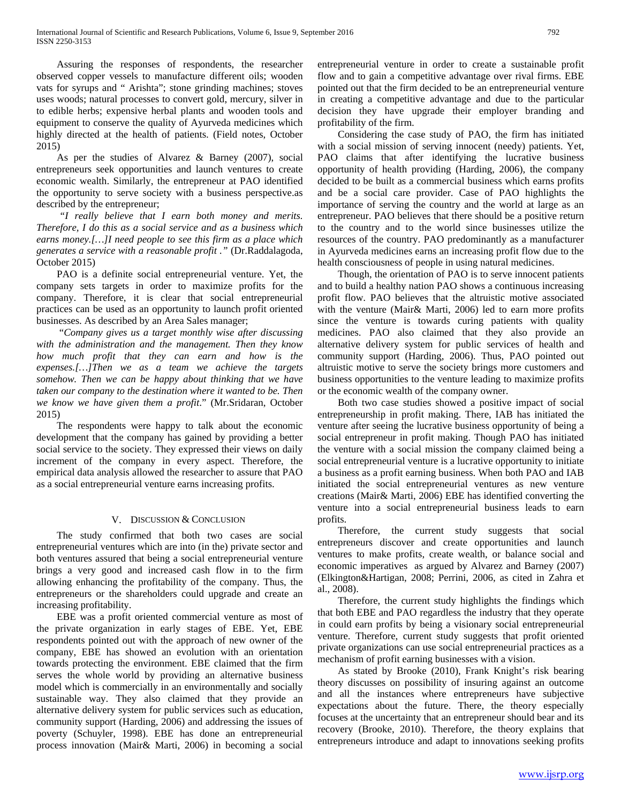Assuring the responses of respondents, the researcher observed copper vessels to manufacture different oils; wooden vats for syrups and " Arishta"; stone grinding machines; stoves uses woods; natural processes to convert gold, mercury, silver in to edible herbs; expensive herbal plants and wooden tools and equipment to conserve the quality of Ayurveda medicines which highly directed at the health of patients. (Field notes, October 2015)

 As per the studies of Alvarez & Barney (2007), social entrepreneurs seek opportunities and launch ventures to create economic wealth. Similarly, the entrepreneur at PAO identified the opportunity to serve society with a business perspective.as described by the entrepreneur;

 *"I really believe that I earn both money and merits. Therefore, I do this as a social service and as a business which earns money.[…]I need people to see this firm as a place which generates a service with a reasonable profit ."* (Dr.Raddalagoda, October 2015)

 PAO is a definite social entrepreneurial venture. Yet, the company sets targets in order to maximize profits for the company. Therefore, it is clear that social entrepreneurial practices can be used as an opportunity to launch profit oriented businesses. As described by an Area Sales manager;

 "*Company gives us a target monthly wise after discussing with the administration and the management. Then they know how much profit that they can earn and how is the expenses.[…]Then we as a team we achieve the targets somehow. Then we can be happy about thinking that we have taken our company to the destination where it wanted to be. Then we know we have given them a profit*." (Mr.Sridaran, October 2015)

 The respondents were happy to talk about the economic development that the company has gained by providing a better social service to the society. They expressed their views on daily increment of the company in every aspect. Therefore, the empirical data analysis allowed the researcher to assure that PAO as a social entrepreneurial venture earns increasing profits.

### V. DISCUSSION & CONCLUSION

 The study confirmed that both two cases are social entrepreneurial ventures which are into (in the) private sector and both ventures assured that being a social entrepreneurial venture brings a very good and increased cash flow in to the firm allowing enhancing the profitability of the company. Thus, the entrepreneurs or the shareholders could upgrade and create an increasing profitability.

 EBE was a profit oriented commercial venture as most of the private organization in early stages of EBE. Yet, EBE respondents pointed out with the approach of new owner of the company, EBE has showed an evolution with an orientation towards protecting the environment. EBE claimed that the firm serves the whole world by providing an alternative business model which is commercially in an environmentally and socially sustainable way. They also claimed that they provide an alternative delivery system for public services such as education, community support (Harding, 2006) and addressing the issues of poverty (Schuyler, 1998). EBE has done an entrepreneurial process innovation (Mair& Marti, 2006) in becoming a social

entrepreneurial venture in order to create a sustainable profit flow and to gain a competitive advantage over rival firms. EBE pointed out that the firm decided to be an entrepreneurial venture in creating a competitive advantage and due to the particular decision they have upgrade their employer branding and profitability of the firm.

 Considering the case study of PAO, the firm has initiated with a social mission of serving innocent (needy) patients. Yet, PAO claims that after identifying the lucrative business opportunity of health providing (Harding, 2006), the company decided to be built as a commercial business which earns profits and be a social care provider. Case of PAO highlights the importance of serving the country and the world at large as an entrepreneur. PAO believes that there should be a positive return to the country and to the world since businesses utilize the resources of the country. PAO predominantly as a manufacturer in Ayurveda medicines earns an increasing profit flow due to the health consciousness of people in using natural medicines.

 Though, the orientation of PAO is to serve innocent patients and to build a healthy nation PAO shows a continuous increasing profit flow. PAO believes that the altruistic motive associated with the venture (Mair& Marti, 2006) led to earn more profits since the venture is towards curing patients with quality medicines. PAO also claimed that they also provide an alternative delivery system for public services of health and community support (Harding, 2006). Thus, PAO pointed out altruistic motive to serve the society brings more customers and business opportunities to the venture leading to maximize profits or the economic wealth of the company owner.

 Both two case studies showed a positive impact of social entrepreneurship in profit making. There, IAB has initiated the venture after seeing the lucrative business opportunity of being a social entrepreneur in profit making. Though PAO has initiated the venture with a social mission the company claimed being a social entrepreneurial venture is a lucrative opportunity to initiate a business as a profit earning business. When both PAO and IAB initiated the social entrepreneurial ventures as new venture creations (Mair& Marti, 2006) EBE has identified converting the venture into a social entrepreneurial business leads to earn profits.

 Therefore, the current study suggests that social entrepreneurs discover and create opportunities and launch ventures to make profits, create wealth, or balance social and economic imperatives as argued by Alvarez and Barney (2007) (Elkington&Hartigan, 2008; Perrini, 2006, as cited in Zahra et al., 2008).

 Therefore, the current study highlights the findings which that both EBE and PAO regardless the industry that they operate in could earn profits by being a visionary social entrepreneurial venture. Therefore, current study suggests that profit oriented private organizations can use social entrepreneurial practices as a mechanism of profit earning businesses with a vision.

 As stated by Brooke (2010), Frank Knight's risk bearing theory discusses on possibility of insuring against an outcome and all the instances where entrepreneurs have subjective expectations about the future. There, the theory especially focuses at the uncertainty that an entrepreneur should bear and its recovery (Brooke, 2010). Therefore, the theory explains that entrepreneurs introduce and adapt to innovations seeking profits